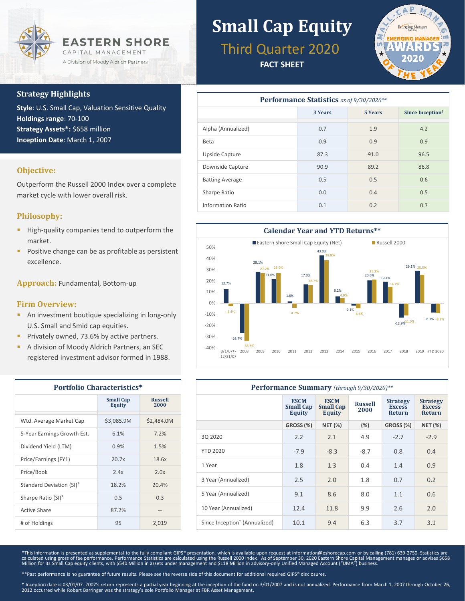

## **Strategy Highlights**

**Style**: U.S. Small Cap, Valuation Sensitive Quality **Holdings range**: 70-100 **Strategy Assets\*:** \$658 million **Inception Date**: March 1, 2007

## **Objective:**

Outperform the Russell 2000 Index over a complete market cycle with lower overall risk.

## **Philosophy:**

- High-quality companies tend to outperform the market.
- Positive change can be as profitable as persistent excellence.

**Approach:** Fundamental, Bottom-up

### **Firm Overview:**

- **An investment boutique specializing in long-only** U.S. Small and Smid cap equities.
- Privately owned, 73.6% by active partners.
- A division of Moody Aldrich Partners, an SEC registered investment advisor formed in 1988.

| <b>Portfolio Characteristics*</b>    |                                   |                        |  |  |
|--------------------------------------|-----------------------------------|------------------------|--|--|
|                                      | <b>Small Cap</b><br><b>Equity</b> | <b>Russell</b><br>2000 |  |  |
| Wtd. Average Market Cap              | \$3,085.9M                        | \$2,484.0M             |  |  |
| 5-Year Earnings Growth Est.          | 6.1%                              | 7.2%                   |  |  |
| Dividend Yield (LTM)                 | 0.9%                              | 1.5%                   |  |  |
| Price/Earnings (FY1)                 | 20.7x                             | 18.6x                  |  |  |
| Price/Book                           | 2.4x                              | 2.0x                   |  |  |
| Standard Deviation (SI) <sup>†</sup> | 18.2%                             | 20.4%                  |  |  |
| Sharpe Ratio (SI) <sup>+</sup>       | 0.5                               | 0.3                    |  |  |
| Active Share                         | 87.2%                             | --                     |  |  |
| # of Holdings                        | 95                                | 2,019                  |  |  |

## **Small Cap Equity** Third Quarter 2020

**FACT SHEET**



| <b>Performance Statistics</b> as of 9/30/2020** |         |                |                              |  |  |  |
|-------------------------------------------------|---------|----------------|------------------------------|--|--|--|
|                                                 | 3 Years | <b>5 Years</b> | Since Inception <sup>†</sup> |  |  |  |
| Alpha (Annualized)                              | 0.7     | 1.9            | 4.2                          |  |  |  |
| Beta                                            | 0.9     | 0.9            | 0.9                          |  |  |  |
| Upside Capture                                  | 87.3    | 91.0           | 96.5                         |  |  |  |
| Downside Capture                                | 90.9    | 89.2           | 86.8                         |  |  |  |
| <b>Batting Average</b>                          | 0.5     | 0.5            | 0.6                          |  |  |  |
| Sharpe Ratio                                    | 0.0     | 0.4            | 0.5                          |  |  |  |
| Information Ratio                               | 0.1     | 0.2            | 0.7                          |  |  |  |



| Performance Summary (through 9/30/2020)** |                                                  |                                                  |                        |                                                   |                                                   |  |
|-------------------------------------------|--------------------------------------------------|--------------------------------------------------|------------------------|---------------------------------------------------|---------------------------------------------------|--|
|                                           | <b>ESCM</b><br><b>Small Cap</b><br><b>Equity</b> | <b>ESCM</b><br><b>Small Cap</b><br><b>Equity</b> | <b>Russell</b><br>2000 | <b>Strategy</b><br><b>Excess</b><br><b>Return</b> | <b>Strategy</b><br><b>Excess</b><br><b>Return</b> |  |
|                                           | GROSS (%)                                        | <b>NET (%)</b>                                   | (%)                    | GROSS (%)                                         | <b>NET (%)</b>                                    |  |
| 30 20 20                                  | 2.2                                              | 2.1                                              | 4.9                    | $-2.7$                                            | $-2.9$                                            |  |
| <b>YTD 2020</b>                           | $-7.9$                                           | $-8.3$                                           | $-8.7$                 | 0.8                                               | 0.4                                               |  |
| 1 Year                                    | 1.8                                              | 1.3                                              | 0.4                    | 1.4                                               | 0.9                                               |  |
| 3 Year (Annualized)                       | 2.5                                              | 2.0                                              | 1.8                    | 0.7                                               | 0.2                                               |  |
| 5 Year (Annualized)                       | 9.1                                              | 8.6                                              | 8.0                    | 1.1                                               | 0.6                                               |  |
| 10 Year (Annualized)                      | 12.4                                             | 11.8                                             | 9.9                    | 2.6                                               | 2.0                                               |  |
| Since Inception <sup>†</sup> (Annualized) | 10.1                                             | 9.4                                              | 6.3                    | 3.7                                               | 3.1                                               |  |

\*This information is presented as supplemental to the fully compliant GIPS® presentation, which is available upon request at information@eshorecap.com or by calling (781) 639-2750. Statistics are calculated using gross of fee performance. Performance Statistics are calculated using the Russell 2000 Index. As of September 30, 2020 Eastern Shore Capital Management manages or advises \$658<br>Million for its Small Cap equ

\*\*Past performance is no guarantee of future results. Please see the reverse side of this document for additional required GIPS® disclosures.

† Inception date is 03/01/07. 2007's return represents a partial year beginning at the inception of the fund on 3/01/2007 and is not annualized. Performance from March 1, 2007 through October 26,<br>2012 occurred while Robert